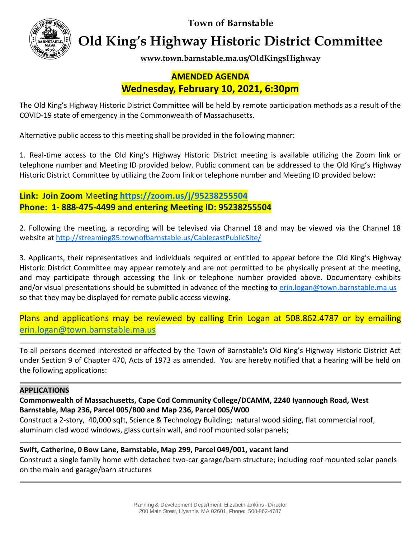**Town of Barnstable**



**Old King's Highway Historic District Committee**

**www.town.barnstable.ma.us/OldKingsHighway**

## **AMENDED AGENDA Wednesday, February 10, 2021, 6:30pm**

The Old King's Highway Historic District Committee will be held by remote participation methods as a result of the COVID-19 state of emergency in the Commonwealth of Massachusetts.

Alternative public access to this meeting shall be provided in the following manner:

1. Real-time access to the Old King's Highway Historic District meeting is available utilizing the Zoom link or telephone number and Meeting ID provided below. Public comment can be addressed to the Old King's Highway Historic District Committee by utilizing the Zoom link or telephone number and Meeting ID provided below:

**Link: Join Zoom** Mee**ting <https://zoom.us/j/95238255504> Phone: 1- 888-475-4499 and entering Meeting ID: 95238255504**

2. Following the meeting, a recording will be televised via Channel 18 and may be viewed via the Channel 18 website at<http://streaming85.townofbarnstable.us/CablecastPublicSite/>

3. Applicants, their representatives and individuals required or entitled to appear before the Old King's Highway Historic District Committee may appear remotely and are not permitted to be physically present at the meeting, and may participate through accessing the link or telephone number provided above. Documentary exhibits and/or visual presentations should be submitted in advance of the meeting to [erin.logan@town.barnstable.ma.us](mailto:erin.logan@town.barnstable.ma.us) so that they may be displayed for remote public access viewing.

Plans and applications may be reviewed by calling Erin Logan at 508.862.4787 or by emailing [erin.logan@town.barnstable.ma.us](mailto:erin.logan@town.barnstable.ma.us)

To all persons deemed interested or affected by the Town of Barnstable's Old King's Highway Historic District Act under Section 9 of Chapter 470, Acts of 1973 as amended. You are hereby notified that a hearing will be held on the following applications:

## **APPLICATIONS**

**Commonwealth of Massachusetts, Cape Cod Community College/DCAMM, 2240 Iyannough Road, West Barnstable, Map 236, Parcel 005/B00 and Map 236, Parcel 005/W00**

Construct a 2-story, 40,000 sqft, Science & Technology Building; natural wood siding, flat commercial roof, aluminum clad wood windows, glass curtain wall, and roof mounted solar panels;

## **Swift, Catherine, 0 Bow Lane, Barnstable, Map 299, Parcel 049/001, vacant land**

Construct a single family home with detached two-car garage/barn structure; including roof mounted solar panels on the main and garage/barn structures